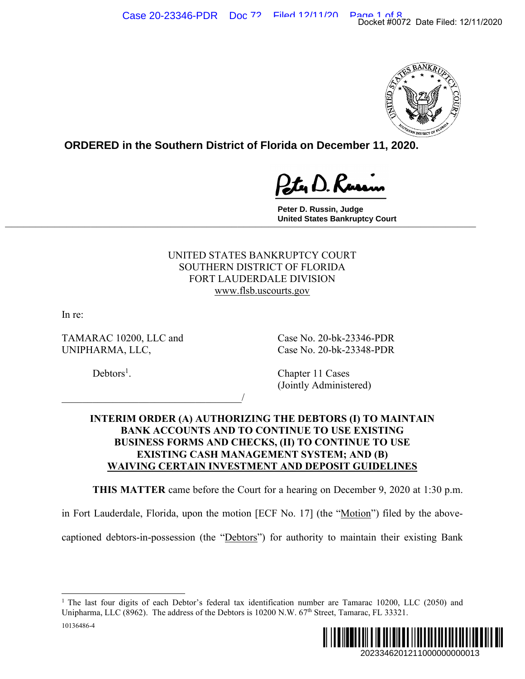

**ORDERED in the Southern District of Florida on December 11, 2020.**

**Peter D. Russin, Judge United States Bankruptcy Court \_\_\_\_\_\_\_\_\_\_\_\_\_\_\_\_\_\_\_\_\_\_\_\_\_\_\_\_\_\_\_\_\_\_\_\_\_\_\_\_\_\_\_\_\_\_\_\_\_\_\_\_\_\_\_\_\_\_\_\_\_\_\_\_\_\_\_\_\_\_\_\_\_\_\_\_\_**

# UNITED STATES BANKRUPTCY COURT SOUTHERN DISTRICT OF FLORIDA FORT LAUDERDALE DIVISION www.flsb.uscourts.gov

In re:

TAMARAC 10200, LLC and Case No. 20-bk-23346-PDR UNIPHARMA, LLC, Case No. 20-bk-23348-PDR

 $\overline{\phantom{a}}$ 

 $Debtors<sup>1</sup>$ .

. Chapter 11 Cases (Jointly Administered)

## **INTERIM ORDER (A) AUTHORIZING THE DEBTORS (I) TO MAINTAIN BANK ACCOUNTS AND TO CONTINUE TO USE EXISTING BUSINESS FORMS AND CHECKS, (II) TO CONTINUE TO USE EXISTING CASH MANAGEMENT SYSTEM; AND (B) WAIVING CERTAIN INVESTMENT AND DEPOSIT GUIDELINES**

**THIS MATTER** came before the Court for a hearing on December 9, 2020 at 1:30 p.m.

in Fort Lauderdale, Florida, upon the motion [ECF No. 17] (the "Motion") filed by the above-

captioned debtors-in-possession (the "Debtors") for authority to maintain their existing Bank

<sup>10136486-4</sup>  <sup>1</sup> The last four digits of each Debtor's federal tax identification number are Tamarac 10200, LLC (2050) and Unipharma, LLC (8962). The address of the Debtors is 10200 N.W. 67<sup>th</sup> Street, Tamarac, FL 33321.

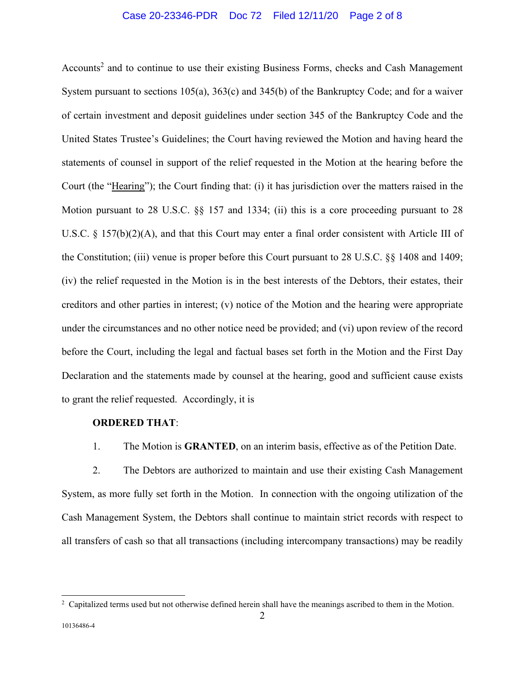## Case 20-23346-PDR Doc 72 Filed 12/11/20 Page 2 of 8

Accounts<sup>2</sup> and to continue to use their existing Business Forms, checks and Cash Management System pursuant to sections 105(a), 363(c) and 345(b) of the Bankruptcy Code; and for a waiver of certain investment and deposit guidelines under section 345 of the Bankruptcy Code and the United States Trustee's Guidelines; the Court having reviewed the Motion and having heard the statements of counsel in support of the relief requested in the Motion at the hearing before the Court (the "Hearing"); the Court finding that: (i) it has jurisdiction over the matters raised in the Motion pursuant to 28 U.S.C. §§ 157 and 1334; (ii) this is a core proceeding pursuant to 28 U.S.C. § 157(b)(2)(A), and that this Court may enter a final order consistent with Article III of the Constitution; (iii) venue is proper before this Court pursuant to 28 U.S.C. §§ 1408 and 1409; (iv) the relief requested in the Motion is in the best interests of the Debtors, their estates, their creditors and other parties in interest; (v) notice of the Motion and the hearing were appropriate under the circumstances and no other notice need be provided; and (vi) upon review of the record before the Court, including the legal and factual bases set forth in the Motion and the First Day Declaration and the statements made by counsel at the hearing, good and sufficient cause exists to grant the relief requested. Accordingly, it is

### **ORDERED THAT**:

1. The Motion is **GRANTED**, on an interim basis, effective as of the Petition Date.

2. The Debtors are authorized to maintain and use their existing Cash Management System, as more fully set forth in the Motion. In connection with the ongoing utilization of the Cash Management System, the Debtors shall continue to maintain strict records with respect to all transfers of cash so that all transactions (including intercompany transactions) may be readily

<sup>&</sup>lt;sup>2</sup> Capitalized terms used but not otherwise defined herein shall have the meanings ascribed to them in the Motion.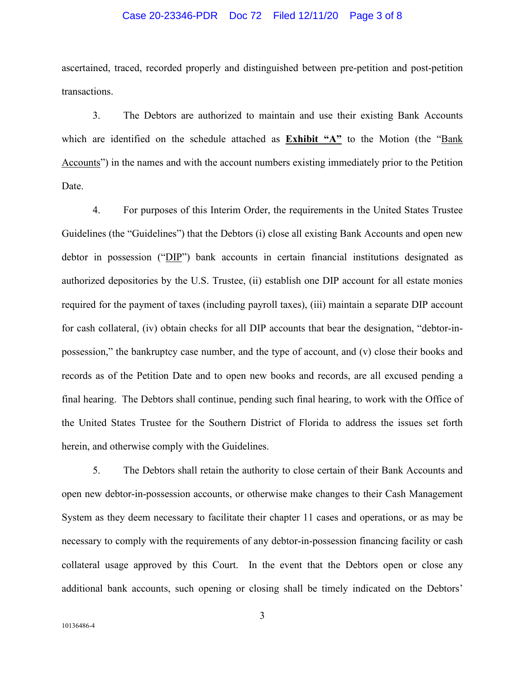#### Case 20-23346-PDR Doc 72 Filed 12/11/20 Page 3 of 8

ascertained, traced, recorded properly and distinguished between pre-petition and post-petition transactions.

3. The Debtors are authorized to maintain and use their existing Bank Accounts which are identified on the schedule attached as **Exhibit "A"** to the Motion (the "Bank Accounts") in the names and with the account numbers existing immediately prior to the Petition Date.

4. For purposes of this Interim Order, the requirements in the United States Trustee Guidelines (the "Guidelines") that the Debtors (i) close all existing Bank Accounts and open new debtor in possession ("DIP") bank accounts in certain financial institutions designated as authorized depositories by the U.S. Trustee, (ii) establish one DIP account for all estate monies required for the payment of taxes (including payroll taxes), (iii) maintain a separate DIP account for cash collateral, (iv) obtain checks for all DIP accounts that bear the designation, "debtor-inpossession," the bankruptcy case number, and the type of account, and (v) close their books and records as of the Petition Date and to open new books and records, are all excused pending a final hearing. The Debtors shall continue, pending such final hearing, to work with the Office of the United States Trustee for the Southern District of Florida to address the issues set forth herein, and otherwise comply with the Guidelines.

5. The Debtors shall retain the authority to close certain of their Bank Accounts and open new debtor-in-possession accounts, or otherwise make changes to their Cash Management System as they deem necessary to facilitate their chapter 11 cases and operations, or as may be necessary to comply with the requirements of any debtor-in-possession financing facility or cash collateral usage approved by this Court. In the event that the Debtors open or close any additional bank accounts, such opening or closing shall be timely indicated on the Debtors'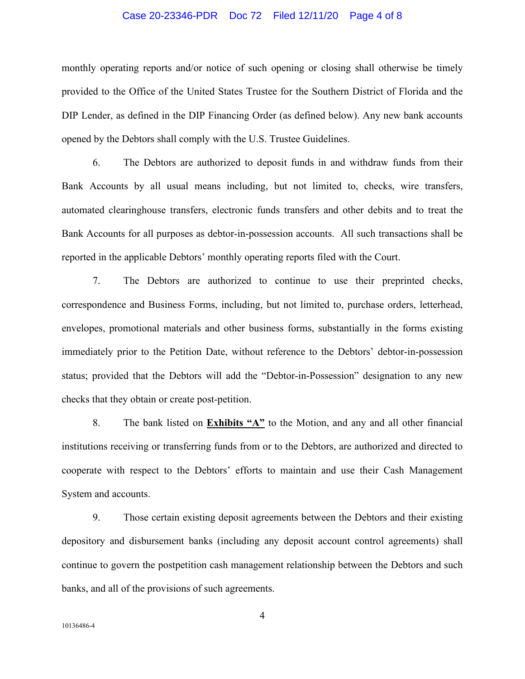### Case 20-23346-PDR Doc 72 Filed 12/11/20 Page 4 of 8

monthly operating reports and/or notice of such opening or closing shall otherwise be timely provided to the Office of the United States Trustee for the Southern District of Florida and the DIP Lender, as defined in the DIP Financing Order (as defined below). Any new bank accounts opened by the Debtors shall comply with the U.S. Trustee Guidelines.

6. The Debtors are authorized to deposit funds in and withdraw funds from their Bank Accounts by all usual means including, but not limited to, checks, wire transfers, automated clearinghouse transfers, electronic funds transfers and other debits and to treat the Bank Accounts for all purposes as debtor-in-possession accounts. All such transactions shall be reported in the applicable Debtors' monthly operating reports filed with the Court.

7. The Debtors are authorized to continue to use their preprinted checks, correspondence and Business Forms, including, but not limited to, purchase orders, letterhead, envelopes, promotional materials and other business forms, substantially in the forms existing immediately prior to the Petition Date, without reference to the Debtors' debtor-in-possession status; provided that the Debtors will add the "Debtor-in-Possession" designation to any new checks that they obtain or create post-petition.

8. The bank listed on **Exhibits "A"** to the Motion, and any and all other financial institutions receiving or transferring funds from or to the Debtors, are authorized and directed to cooperate with respect to the Debtors' efforts to maintain and use their Cash Management System and accounts.

9. Those certain existing deposit agreements between the Debtors and their existing depository and disbursement banks (including any deposit account control agreements) shall continue to govern the postpetition cash management relationship between the Debtors and such banks, and all of the provisions of such agreements.

4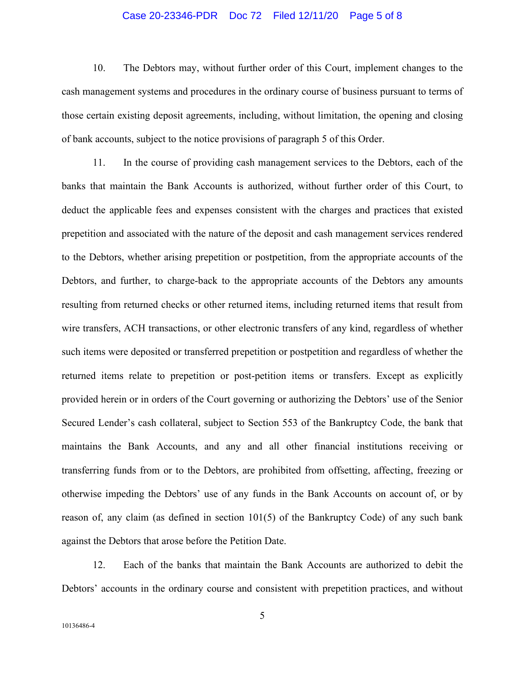### Case 20-23346-PDR Doc 72 Filed 12/11/20 Page 5 of 8

10. The Debtors may, without further order of this Court, implement changes to the cash management systems and procedures in the ordinary course of business pursuant to terms of those certain existing deposit agreements, including, without limitation, the opening and closing of bank accounts, subject to the notice provisions of paragraph 5 of this Order.

11. In the course of providing cash management services to the Debtors, each of the banks that maintain the Bank Accounts is authorized, without further order of this Court, to deduct the applicable fees and expenses consistent with the charges and practices that existed prepetition and associated with the nature of the deposit and cash management services rendered to the Debtors, whether arising prepetition or postpetition, from the appropriate accounts of the Debtors, and further, to charge-back to the appropriate accounts of the Debtors any amounts resulting from returned checks or other returned items, including returned items that result from wire transfers, ACH transactions, or other electronic transfers of any kind, regardless of whether such items were deposited or transferred prepetition or postpetition and regardless of whether the returned items relate to prepetition or post-petition items or transfers. Except as explicitly provided herein or in orders of the Court governing or authorizing the Debtors' use of the Senior Secured Lender's cash collateral, subject to Section 553 of the Bankruptcy Code, the bank that maintains the Bank Accounts, and any and all other financial institutions receiving or transferring funds from or to the Debtors, are prohibited from offsetting, affecting, freezing or otherwise impeding the Debtors' use of any funds in the Bank Accounts on account of, or by reason of, any claim (as defined in section 101(5) of the Bankruptcy Code) of any such bank against the Debtors that arose before the Petition Date.

12. Each of the banks that maintain the Bank Accounts are authorized to debit the Debtors' accounts in the ordinary course and consistent with prepetition practices, and without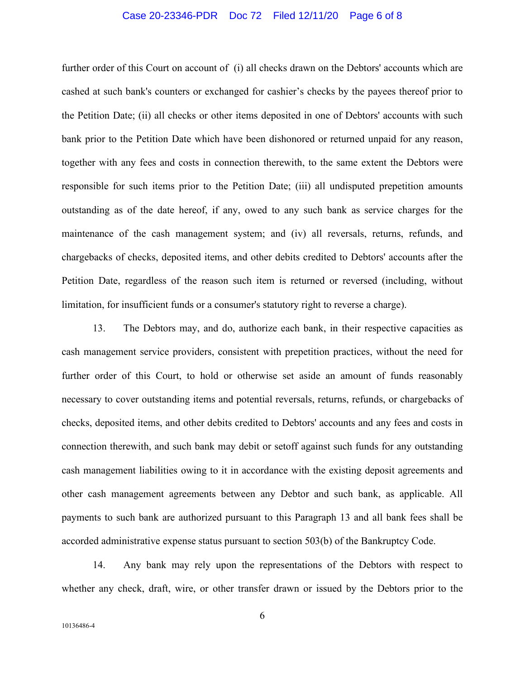#### Case 20-23346-PDR Doc 72 Filed 12/11/20 Page 6 of 8

further order of this Court on account of (i) all checks drawn on the Debtors' accounts which are cashed at such bank's counters or exchanged for cashier's checks by the payees thereof prior to the Petition Date; (ii) all checks or other items deposited in one of Debtors' accounts with such bank prior to the Petition Date which have been dishonored or returned unpaid for any reason, together with any fees and costs in connection therewith, to the same extent the Debtors were responsible for such items prior to the Petition Date; (iii) all undisputed prepetition amounts outstanding as of the date hereof, if any, owed to any such bank as service charges for the maintenance of the cash management system; and (iv) all reversals, returns, refunds, and chargebacks of checks, deposited items, and other debits credited to Debtors' accounts after the Petition Date, regardless of the reason such item is returned or reversed (including, without limitation, for insufficient funds or a consumer's statutory right to reverse a charge).

13. The Debtors may, and do, authorize each bank, in their respective capacities as cash management service providers, consistent with prepetition practices, without the need for further order of this Court, to hold or otherwise set aside an amount of funds reasonably necessary to cover outstanding items and potential reversals, returns, refunds, or chargebacks of checks, deposited items, and other debits credited to Debtors' accounts and any fees and costs in connection therewith, and such bank may debit or setoff against such funds for any outstanding cash management liabilities owing to it in accordance with the existing deposit agreements and other cash management agreements between any Debtor and such bank, as applicable. All payments to such bank are authorized pursuant to this Paragraph 13 and all bank fees shall be accorded administrative expense status pursuant to section 503(b) of the Bankruptcy Code.

14. Any bank may rely upon the representations of the Debtors with respect to whether any check, draft, wire, or other transfer drawn or issued by the Debtors prior to the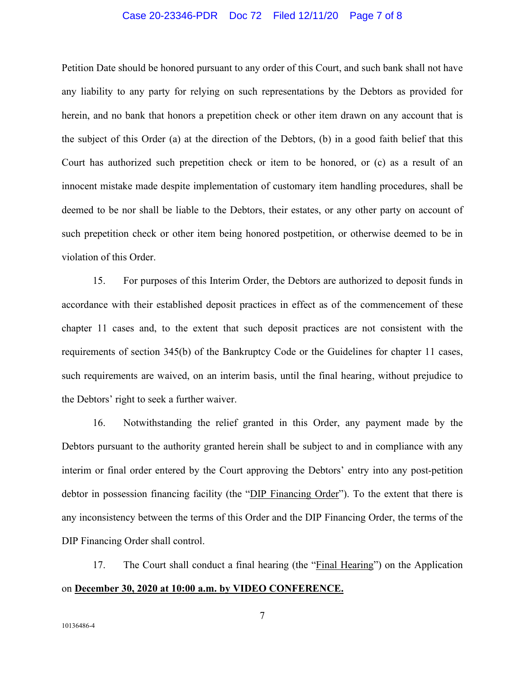#### Case 20-23346-PDR Doc 72 Filed 12/11/20 Page 7 of 8

Petition Date should be honored pursuant to any order of this Court, and such bank shall not have any liability to any party for relying on such representations by the Debtors as provided for herein, and no bank that honors a prepetition check or other item drawn on any account that is the subject of this Order (a) at the direction of the Debtors, (b) in a good faith belief that this Court has authorized such prepetition check or item to be honored, or (c) as a result of an innocent mistake made despite implementation of customary item handling procedures, shall be deemed to be nor shall be liable to the Debtors, their estates, or any other party on account of such prepetition check or other item being honored postpetition, or otherwise deemed to be in violation of this Order.

15. For purposes of this Interim Order, the Debtors are authorized to deposit funds in accordance with their established deposit practices in effect as of the commencement of these chapter 11 cases and, to the extent that such deposit practices are not consistent with the requirements of section 345(b) of the Bankruptcy Code or the Guidelines for chapter 11 cases, such requirements are waived, on an interim basis, until the final hearing, without prejudice to the Debtors' right to seek a further waiver.

16. Notwithstanding the relief granted in this Order, any payment made by the Debtors pursuant to the authority granted herein shall be subject to and in compliance with any interim or final order entered by the Court approving the Debtors' entry into any post-petition debtor in possession financing facility (the "DIP Financing Order"). To the extent that there is any inconsistency between the terms of this Order and the DIP Financing Order, the terms of the DIP Financing Order shall control.

17. The Court shall conduct a final hearing (the "Final Hearing") on the Application on **December 30, 2020 at 10:00 a.m. by VIDEO CONFERENCE.**